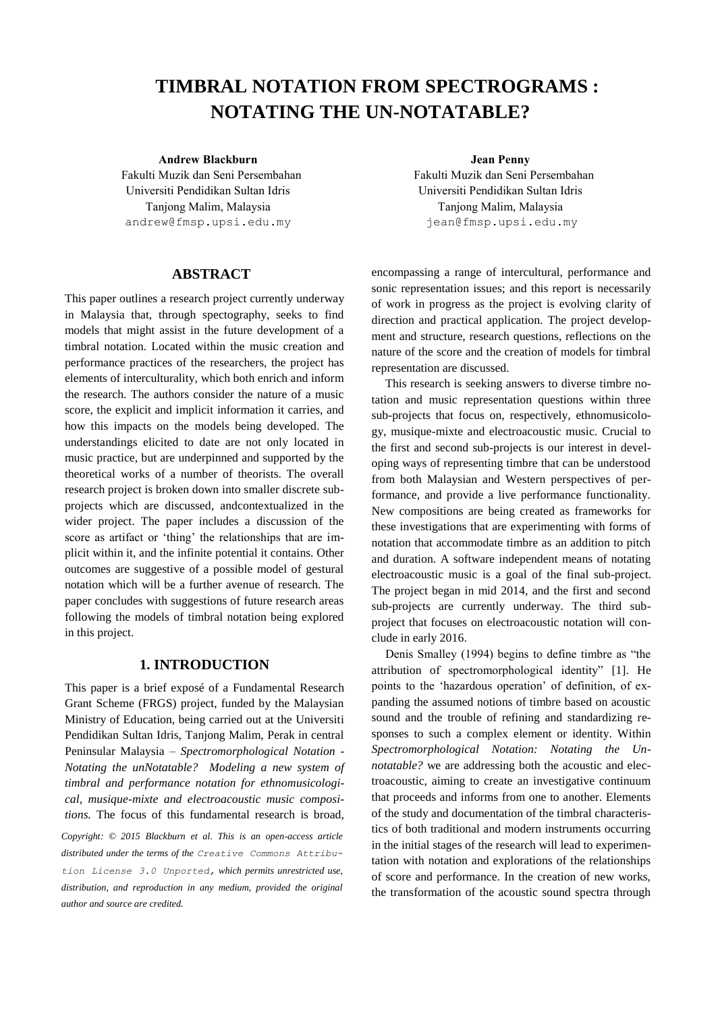# **TIMBRAL NOTATION FROM SPECTROGRAMS : NOTATING THE UN-NOTATABLE?**

## **Andrew Blackburn Jean Penny**

Fakulti Muzik dan Seni Persembahan Universiti Pendidikan Sultan Idris Tanjong Malim, Malaysia [andrew@fmsp.upsi.edu.my](mailto:author1@adomain.org?subject=TENOR%202015%20paper)

# **ABSTRACT**

This paper outlines a research project currently underway in Malaysia that, through spectography, seeks to find models that might assist in the future development of a timbral notation. Located within the music creation and performance practices of the researchers, the project has elements of interculturality, which both enrich and inform the research. The authors consider the nature of a music score, the explicit and implicit information it carries, and how this impacts on the models being developed. The understandings elicited to date are not only located in music practice, but are underpinned and supported by the theoretical works of a number of theorists. The overall research project is broken down into smaller discrete subprojects which are discussed, andcontextualized in the wider project. The paper includes a discussion of the score as artifact or 'thing' the relationships that are implicit within it, and the infinite potential it contains. Other outcomes are suggestive of a possible model of gestural notation which will be a further avenue of research. The paper concludes with suggestions of future research areas following the models of timbral notation being explored in this project.

## **1. INTRODUCTION**

This paper is a brief exposé of a Fundamental Research Grant Scheme (FRGS) project, funded by the Malaysian Ministry of Education, being carried out at the Universiti Pendidikan Sultan Idris, Tanjong Malim, Perak in central Peninsular Malaysia – *Spectromorphological Notation - Notating the unNotatable? Modeling a new system of timbral and performance notation for ethnomusicological, musique-mixte and electroacoustic music compositions.* The focus of this fundamental research is broad, *Copyright: © 2015 Blackburn et al. This is an open-access article distributed under the terms of the [Creative Commons Attribu](http://creativecommons.org/licenses/by/3.0/)[tion License 3.0 Unported,](http://creativecommons.org/licenses/by/3.0/) which permits unrestricted use, distribution, and reproduction in any medium, provided the original author and source are credited.*

Fakulti Muzik dan Seni Persembahan Universiti Pendidikan Sultan Idris Tanjong Malim, Malaysia [jean@fmsp.upsi.edu.my](mailto:author2@adomain.org)

encompassing a range of intercultural, performance and sonic representation issues; and this report is necessarily of work in progress as the project is evolving clarity of direction and practical application. The project development and structure, research questions, reflections on the nature of the score and the creation of models for timbral representation are discussed.

This research is seeking answers to diverse timbre notation and music representation questions within three sub-projects that focus on, respectively, ethnomusicology, musique-mixte and electroacoustic music. Crucial to the first and second sub-projects is our interest in developing ways of representing timbre that can be understood from both Malaysian and Western perspectives of performance, and provide a live performance functionality. New compositions are being created as frameworks for these investigations that are experimenting with forms of notation that accommodate timbre as an addition to pitch and duration. A software independent means of notating electroacoustic music is a goal of the final sub-project. The project began in mid 2014, and the first and second sub-projects are currently underway. The third subproject that focuses on electroacoustic notation will conclude in early 2016.

Denis Smalley (1994) begins to define timbre as "the attribution of spectromorphological identity" [1]. He points to the 'hazardous operation' of definition, of expanding the assumed notions of timbre based on acoustic sound and the trouble of refining and standardizing responses to such a complex element or identity. Within *Spectromorphological Notation: Notating the Unnotatable?* we are addressing both the acoustic and electroacoustic, aiming to create an investigative continuum that proceeds and informs from one to another. Elements of the study and documentation of the timbral characteristics of both traditional and modern instruments occurring in the initial stages of the research will lead to experimentation with notation and explorations of the relationships of score and performance. In the creation of new works, the transformation of the acoustic sound spectra through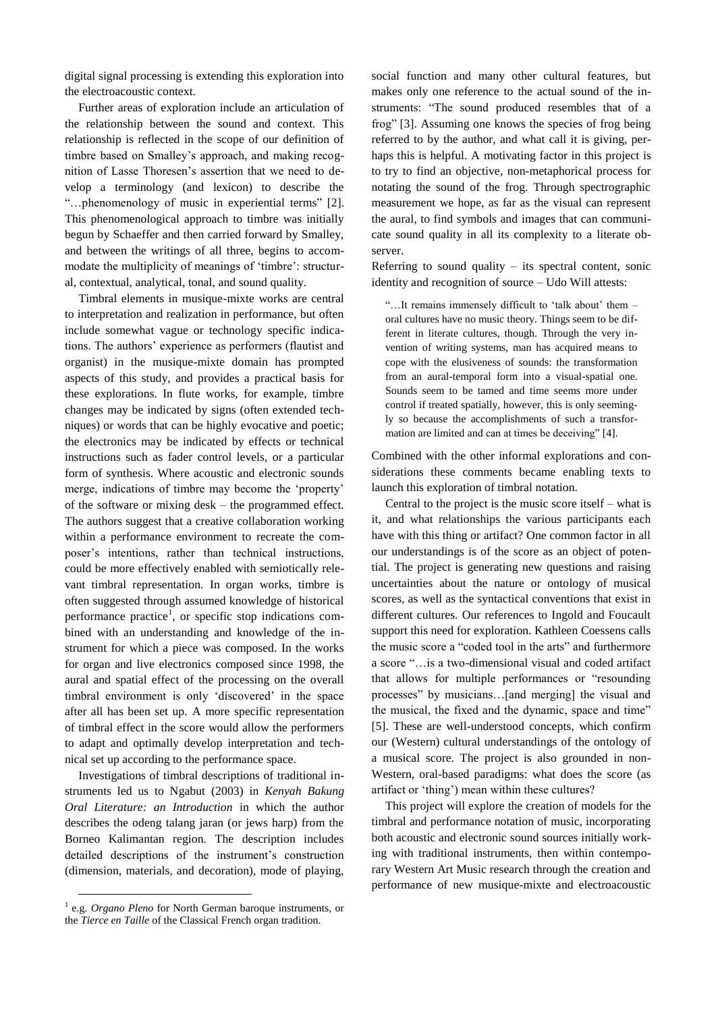digital signal processing is extending this exploration into the electroacoustic context.

Further areas of exploration include an articulation of the relationship between the sound and context. This relationship is reflected in the scope of our definition of timbre based on Smalley's approach, and making recognition of Lasse Thoresen's assertion that we need to develop a terminology (and lexicon) to describe the "…phenomenology of music in experiential terms" [2]. This phenomenological approach to timbre was initially begun by Schaeffer and then carried forward by Smalley, and between the writings of all three, begins to accommodate the multiplicity of meanings of 'timbre': structural, contextual, analytical, tonal, and sound quality.

Timbral elements in musique-mixte works are central to interpretation and realization in performance, but often include somewhat vague or technology specific indications. The authors' experience as performers (flautist and organist) in the musique-mixte domain has prompted aspects of this study, and provides a practical basis for these explorations. In flute works, for example, timbre changes may be indicated by signs (often extended techniques) or words that can be highly evocative and poetic; the electronics may be indicated by effects or technical instructions such as fader control levels, or a particular form of synthesis. Where acoustic and electronic sounds merge, indications of timbre may become the 'property' of the software or mixing desk – the programmed effect. The authors suggest that a creative collaboration working within a performance environment to recreate the composer's intentions, rather than technical instructions, could be more effectively enabled with semiotically relevant timbral representation. In organ works, timbre is often suggested through assumed knowledge of historical performance practice<sup>1</sup>, or specific stop indications combined with an understanding and knowledge of the instrument for which a piece was composed. In the works for organ and live electronics composed since 1998, the aural and spatial effect of the processing on the overall timbral environment is only 'discovered' in the space after all has been set up. A more specific representation of timbral effect in the score would allow the performers to adapt and optimally develop interpretation and technical set up according to the performance space.

Investigations of timbral descriptions of traditional instruments led us to Ngabut (2003) in *Kenyah Bakung Oral Literature: an Introduction* in which the author describes the odeng talang jaran (or jews harp) from the Borneo Kalimantan region. The description includes detailed descriptions of the instrument's construction (dimension, materials, and decoration), mode of playing,

-

social function and many other cultural features, but makes only one reference to the actual sound of the instruments: "The sound produced resembles that of a frog" [3]. Assuming one knows the species of frog being referred to by the author, and what call it is giving, perhaps this is helpful. A motivating factor in this project is to try to find an objective, non-metaphorical process for notating the sound of the frog. Through spectrographic measurement we hope, as far as the visual can represent the aural, to find symbols and images that can communicate sound quality in all its complexity to a literate observer.

Referring to sound quality  $-$  its spectral content, sonic identity and recognition of source – Udo Will attests:

"…It remains immensely difficult to 'talk about' them – oral cultures have no music theory. Things seem to be different in literate cultures, though. Through the very invention of writing systems, man has acquired means to cope with the elusiveness of sounds: the transformation from an aural-temporal form into a visual-spatial one. Sounds seem to be tamed and time seems more under control if treated spatially, however, this is only seemingly so because the accomplishments of such a transformation are limited and can at times be deceiving" [4].

Combined with the other informal explorations and considerations these comments became enabling texts to launch this exploration of timbral notation.

Central to the project is the music score itself – what is it, and what relationships the various participants each have with this thing or artifact? One common factor in all our understandings is of the score as an object of potential. The project is generating new questions and raising uncertainties about the nature or ontology of musical scores, as well as the syntactical conventions that exist in different cultures. Our references to Ingold and Foucault support this need for exploration. Kathleen Coessens calls the music score a "coded tool in the arts" and furthermore a score "…is a two-dimensional visual and coded artifact that allows for multiple performances or "resounding processes" by musicians…[and merging] the visual and the musical, the fixed and the dynamic, space and time" [5]. These are well-understood concepts, which confirm our (Western) cultural understandings of the ontology of a musical score. The project is also grounded in non-Western, oral-based paradigms: what does the score (as artifact or 'thing') mean within these cultures?

This project will explore the creation of models for the timbral and performance notation of music, incorporating both acoustic and electronic sound sources initially working with traditional instruments, then within contemporary Western Art Music research through the creation and performance of new musique-mixte and electroacoustic

<sup>&</sup>lt;sup>1</sup> e.g. *Organo Pleno* for North German baroque instruments, or the *Tierce en Taille* of the Classical French organ tradition.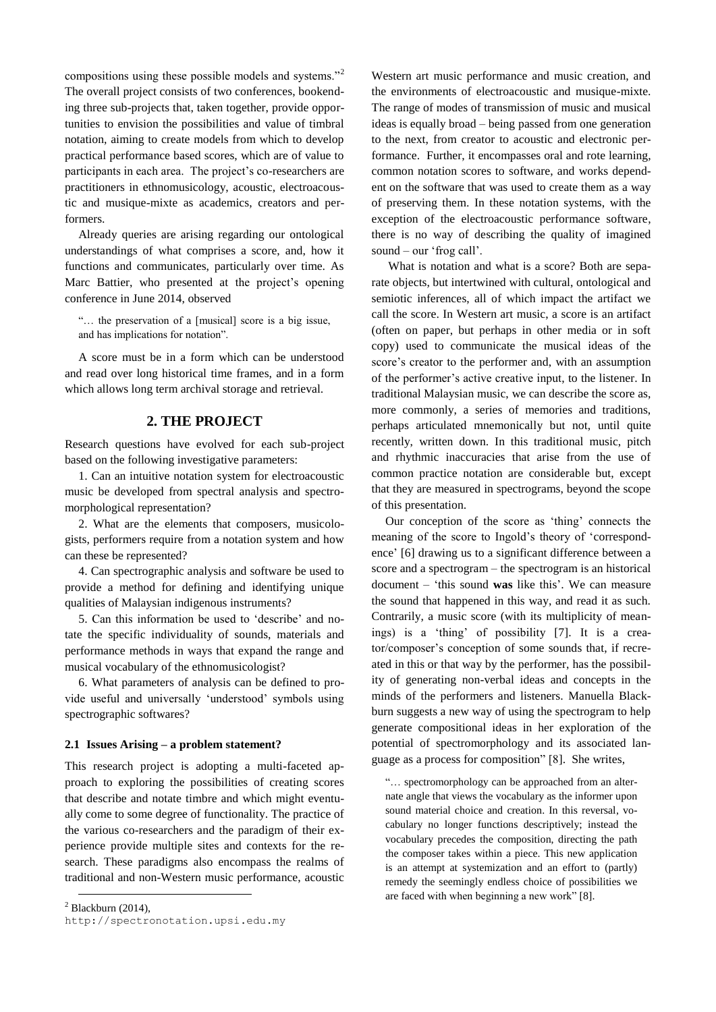compositions using these possible models and systems."<sup>2</sup> The overall project consists of two conferences, bookending three sub-projects that, taken together, provide opportunities to envision the possibilities and value of timbral notation, aiming to create models from which to develop practical performance based scores, which are of value to participants in each area. The project's co-researchers are practitioners in ethnomusicology, acoustic, electroacoustic and musique-mixte as academics, creators and performers.

Already queries are arising regarding our ontological understandings of what comprises a score, and, how it functions and communicates, particularly over time. As Marc Battier, who presented at the project's opening conference in June 2014, observed

"… the preservation of a [musical] score is a big issue, and has implications for notation".

A score must be in a form which can be understood and read over long historical time frames, and in a form which allows long term archival storage and retrieval.

# **2. THE PROJECT**

Research questions have evolved for each sub-project based on the following investigative parameters:

1. Can an intuitive notation system for electroacoustic music be developed from spectral analysis and spectromorphological representation?

2. What are the elements that composers, musicologists, performers require from a notation system and how can these be represented?

4. Can spectrographic analysis and software be used to provide a method for defining and identifying unique qualities of Malaysian indigenous instruments?

5. Can this information be used to 'describe' and notate the specific individuality of sounds, materials and performance methods in ways that expand the range and musical vocabulary of the ethnomusicologist?

6. What parameters of analysis can be defined to provide useful and universally 'understood' symbols using spectrographic softwares?

#### **2.1 Issues Arising – a problem statement?**

This research project is adopting a multi-faceted approach to exploring the possibilities of creating scores that describe and notate timbre and which might eventually come to some degree of functionality. The practice of the various co-researchers and the paradigm of their experience provide multiple sites and contexts for the research. These paradigms also encompass the realms of traditional and non-Western music performance, acoustic

 $2$  Blackburn (2014),

1

Western art music performance and music creation, and the environments of electroacoustic and musique-mixte. The range of modes of transmission of music and musical ideas is equally broad – being passed from one generation to the next, from creator to acoustic and electronic performance. Further, it encompasses oral and rote learning, common notation scores to software, and works dependent on the software that was used to create them as a way of preserving them. In these notation systems, with the exception of the electroacoustic performance software, there is no way of describing the quality of imagined sound – our 'frog call'.

What is notation and what is a score? Both are separate objects, but intertwined with cultural, ontological and semiotic inferences, all of which impact the artifact we call the score. In Western art music, a score is an artifact (often on paper, but perhaps in other media or in soft copy) used to communicate the musical ideas of the score's creator to the performer and, with an assumption of the performer's active creative input, to the listener. In traditional Malaysian music, we can describe the score as, more commonly, a series of memories and traditions, perhaps articulated mnemonically but not, until quite recently, written down. In this traditional music, pitch and rhythmic inaccuracies that arise from the use of common practice notation are considerable but, except that they are measured in spectrograms, beyond the scope of this presentation.

Our conception of the score as 'thing' connects the meaning of the score to Ingold's theory of 'correspondence' [6] drawing us to a significant difference between a score and a spectrogram – the spectrogram is an historical document – 'this sound **was** like this'. We can measure the sound that happened in this way, and read it as such. Contrarily, a music score (with its multiplicity of meanings) is a 'thing' of possibility [7]. It is a creator/composer's conception of some sounds that, if recreated in this or that way by the performer, has the possibility of generating non-verbal ideas and concepts in the minds of the performers and listeners. Manuella Blackburn suggests a new way of using the spectrogram to help generate compositional ideas in her exploration of the potential of spectromorphology and its associated language as a process for composition" [8]. She writes,

"… spectromorphology can be approached from an alternate angle that views the vocabulary as the informer upon sound material choice and creation. In this reversal, vocabulary no longer functions descriptively; instead the vocabulary precedes the composition, directing the path the composer takes within a piece. This new application is an attempt at systemization and an effort to (partly) remedy the seemingly endless choice of possibilities we are faced with when beginning a new work" [8].

[http://spectronotation.upsi.edu.my](http://spectronotation.upsi.edu.my/)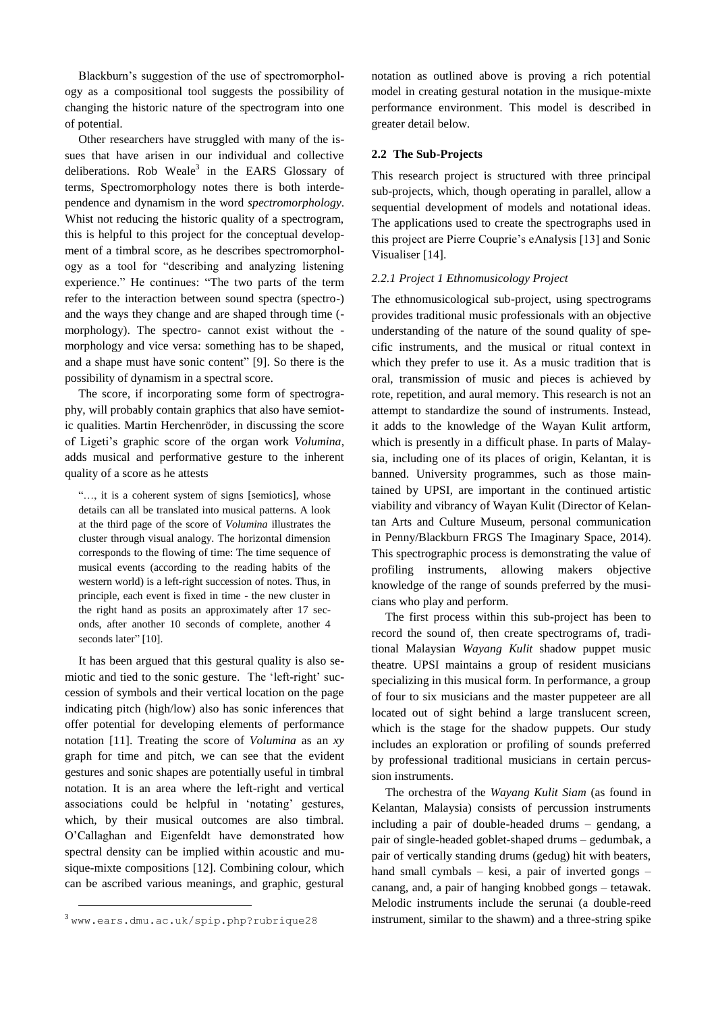Blackburn's suggestion of the use of spectromorphology as a compositional tool suggests the possibility of changing the historic nature of the spectrogram into one of potential.

Other researchers have struggled with many of the issues that have arisen in our individual and collective deliberations. Rob Weale<sup>3</sup> in the EARS Glossary of terms, Spectromorphology notes there is both interdependence and dynamism in the word *spectromorphology*. Whist not reducing the historic quality of a spectrogram, this is helpful to this project for the conceptual development of a timbral score, as he describes spectromorphology as a tool for "describing and analyzing listening experience." He continues: "The two parts of the term refer to the interaction between sound spectra (spectro-) and the ways they change and are shaped through time ( morphology). The spectro- cannot exist without the morphology and vice versa: something has to be shaped, and a shape must have sonic content" [9]. So there is the possibility of dynamism in a spectral score.

The score, if incorporating some form of spectrography, will probably contain graphics that also have semiotic qualities. Martin Herchenröder, in discussing the score of Ligeti's graphic score of the organ work *Volumina*, adds musical and performative gesture to the inherent quality of a score as he attests

"…, it is a coherent system of signs [semiotics], whose details can all be translated into musical patterns. A look at the third page of the score of *Volumina* illustrates the cluster through visual analogy. The horizontal dimension corresponds to the flowing of time: The time sequence of musical events (according to the reading habits of the western world) is a left-right succession of notes. Thus, in principle, each event is fixed in time - the new cluster in the right hand as posits an approximately after 17 seconds, after another 10 seconds of complete, another 4 seconds later" [10].

It has been argued that this gestural quality is also semiotic and tied to the sonic gesture. The 'left-right' succession of symbols and their vertical location on the page indicating pitch (high/low) also has sonic inferences that offer potential for developing elements of performance notation [11]. Treating the score of *Volumina* as an *xy* graph for time and pitch, we can see that the evident gestures and sonic shapes are potentially useful in timbral notation. It is an area where the left-right and vertical associations could be helpful in 'notating' gestures, which, by their musical outcomes are also timbral. O'Callaghan and Eigenfeldt have demonstrated how spectral density can be implied within acoustic and musique-mixte compositions [12]. Combining colour, which can be ascribed various meanings, and graphic, gestural

-

notation as outlined above is proving a rich potential model in creating gestural notation in the musique-mixte performance environment. This model is described in greater detail below.

#### **2.2 The Sub-Projects**

This research project is structured with three principal sub-projects, which, though operating in parallel, allow a sequential development of models and notational ideas. The applications used to create the spectrographs used in this project are Pierre Couprie's eAnalysis [13] and Sonic Visualiser [14].

#### *2.2.1 Project 1 Ethnomusicology Project*

The ethnomusicological sub-project, using spectrograms provides traditional music professionals with an objective understanding of the nature of the sound quality of specific instruments, and the musical or ritual context in which they prefer to use it. As a music tradition that is oral, transmission of music and pieces is achieved by rote, repetition, and aural memory. This research is not an attempt to standardize the sound of instruments. Instead, it adds to the knowledge of the Wayan Kulit artform, which is presently in a difficult phase. In parts of Malaysia, including one of its places of origin, Kelantan, it is banned. University programmes, such as those maintained by UPSI, are important in the continued artistic viability and vibrancy of Wayan Kulit (Director of Kelantan Arts and Culture Museum, personal communication in Penny/Blackburn FRGS The Imaginary Space, 2014). This spectrographic process is demonstrating the value of profiling instruments, allowing makers objective knowledge of the range of sounds preferred by the musicians who play and perform.

The first process within this sub-project has been to record the sound of, then create spectrograms of, traditional Malaysian *Wayang Kulit* shadow puppet music theatre. UPSI maintains a group of resident musicians specializing in this musical form. In performance, a group of four to six musicians and the master puppeteer are all located out of sight behind a large translucent screen, which is the stage for the shadow puppets. Our study includes an exploration or profiling of sounds preferred by professional traditional musicians in certain percussion instruments.

The orchestra of the *Wayang Kulit Siam* (as found in Kelantan, Malaysia) consists of percussion instruments including a pair of double-headed drums – gendang, a pair of single-headed goblet-shaped drums – gedumbak, a pair of vertically standing drums (gedug) hit with beaters, hand small cymbals – kesi, a pair of inverted gongs – canang, and, a pair of hanging knobbed gongs – tetawak. Melodic instruments include the serunai (a double-reed instrument, similar to the shawm) and a three-string spike

<sup>3</sup> [www.ears.dmu.ac.uk/spip.php?rubrique28](file:///C:/Users/julie/Desktop/Nico/TENOR2015/Originaux/38-blackburn/38-blackburn/www.ears.dmu.ac.uk/spip.php%3frubrique28)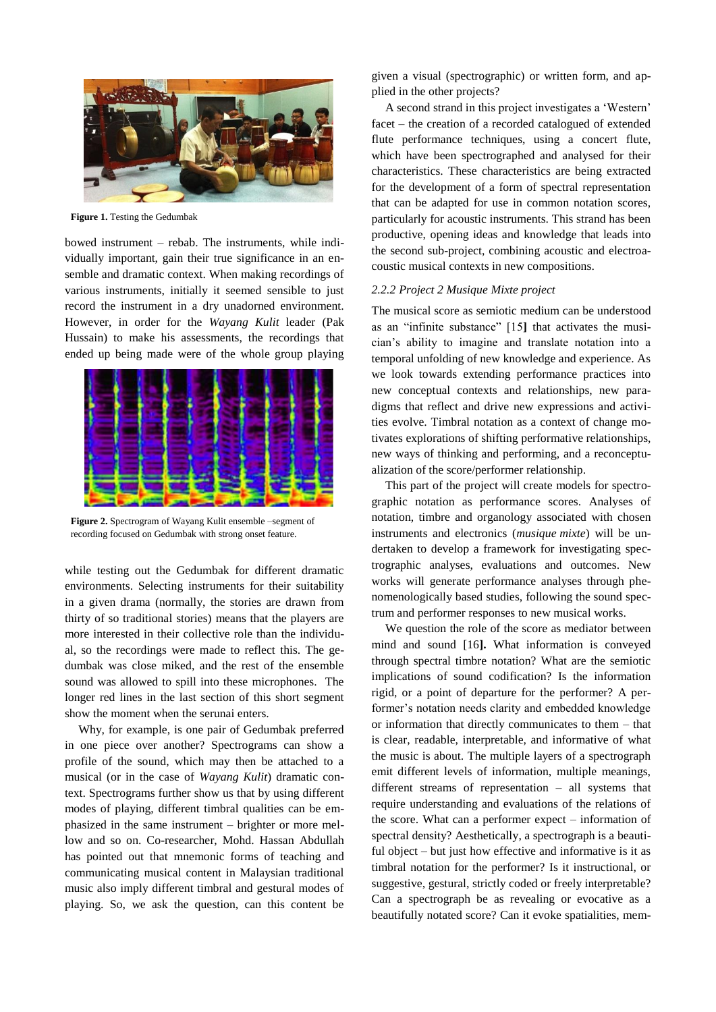

**Figure 1.** Testing the Gedumbak

bowed instrument – rebab. The instruments, while individually important, gain their true significance in an ensemble and dramatic context. When making recordings of various instruments, initially it seemed sensible to just record the instrument in a dry unadorned environment. However, in order for the *Wayang Kulit* leader (Pak Hussain) to make his assessments, the recordings that ended up being made were of the whole group playing



**Figure 2.** Spectrogram of Wayang Kulit ensemble –segment of recording focused on Gedumbak with strong onset feature.

while testing out the Gedumbak for different dramatic environments. Selecting instruments for their suitability in a given drama (normally, the stories are drawn from thirty of so traditional stories) means that the players are more interested in their collective role than the individual, so the recordings were made to reflect this. The gedumbak was close miked, and the rest of the ensemble sound was allowed to spill into these microphones. The longer red lines in the last section of this short segment show the moment when the serunai enters.

Why, for example, is one pair of Gedumbak preferred in one piece over another? Spectrograms can show a profile of the sound, which may then be attached to a musical (or in the case of *Wayang Kulit*) dramatic context. Spectrograms further show us that by using different modes of playing, different timbral qualities can be emphasized in the same instrument – brighter or more mellow and so on. Co-researcher, Mohd. Hassan Abdullah has pointed out that mnemonic forms of teaching and communicating musical content in Malaysian traditional music also imply different timbral and gestural modes of playing. So, we ask the question, can this content be

given a visual (spectrographic) or written form, and applied in the other projects?

A second strand in this project investigates a 'Western' facet – the creation of a recorded catalogued of extended flute performance techniques, using a concert flute, which have been spectrographed and analysed for their characteristics. These characteristics are being extracted for the development of a form of spectral representation that can be adapted for use in common notation scores, particularly for acoustic instruments. This strand has been productive, opening ideas and knowledge that leads into the second sub-project, combining acoustic and electroacoustic musical contexts in new compositions.

#### *2.2.2 Project 2 Musique Mixte project*

The musical score as semiotic medium can be understood as an "infinite substance" [15**]** that activates the musician's ability to imagine and translate notation into a temporal unfolding of new knowledge and experience. As we look towards extending performance practices into new conceptual contexts and relationships, new paradigms that reflect and drive new expressions and activities evolve. Timbral notation as a context of change motivates explorations of shifting performative relationships, new ways of thinking and performing, and a reconceptualization of the score/performer relationship.

This part of the project will create models for spectrographic notation as performance scores. Analyses of notation, timbre and organology associated with chosen instruments and electronics (*musique mixte*) will be undertaken to develop a framework for investigating spectrographic analyses, evaluations and outcomes. New works will generate performance analyses through phenomenologically based studies, following the sound spectrum and performer responses to new musical works.

We question the role of the score as mediator between mind and sound [16**].** What information is conveyed through spectral timbre notation? What are the semiotic implications of sound codification? Is the information rigid, or a point of departure for the performer? A performer's notation needs clarity and embedded knowledge or information that directly communicates to them – that is clear, readable, interpretable, and informative of what the music is about. The multiple layers of a spectrograph emit different levels of information, multiple meanings, different streams of representation – all systems that require understanding and evaluations of the relations of the score. What can a performer expect – information of spectral density? Aesthetically, a spectrograph is a beautiful object – but just how effective and informative is it as timbral notation for the performer? Is it instructional, or suggestive, gestural, strictly coded or freely interpretable? Can a spectrograph be as revealing or evocative as a beautifully notated score? Can it evoke spatialities, mem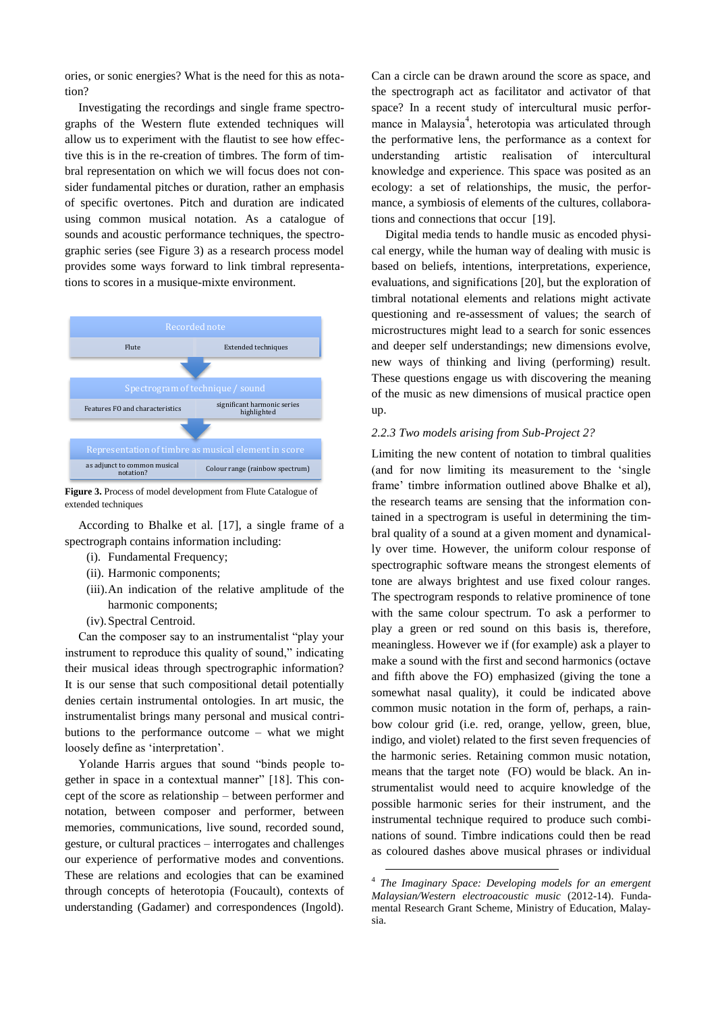ories, or sonic energies? What is the need for this as notation?

Investigating the recordings and single frame spectrographs of the Western flute extended techniques will allow us to experiment with the flautist to see how effective this is in the re-creation of timbres. The form of timbral representation on which we will focus does not consider fundamental pitches or duration, rather an emphasis of specific overtones. Pitch and duration are indicated using common musical notation. As a catalogue of sounds and acoustic performance techniques, the spectrographic series (see Figure 3) as a research process model provides some ways forward to link timbral representations to scores in a musique-mixte environment.



**Figure 3.** Process of model development from Flute Catalogue of extended techniques

According to Bhalke et al. [17], a single frame of a spectrograph contains information including:

- (i). Fundamental Frequency;
- (ii). Harmonic components;
- (iii).An indication of the relative amplitude of the harmonic components;
- (iv).Spectral Centroid.

Can the composer say to an instrumentalist "play your instrument to reproduce this quality of sound," indicating their musical ideas through spectrographic information? It is our sense that such compositional detail potentially denies certain instrumental ontologies. In art music, the instrumentalist brings many personal and musical contributions to the performance outcome – what we might loosely define as 'interpretation'.

Yolande Harris argues that sound "binds people together in space in a contextual manner" [18]. This concept of the score as relationship – between performer and notation, between composer and performer, between memories, communications, live sound, recorded sound, gesture, or cultural practices – interrogates and challenges our experience of performative modes and conventions. These are relations and ecologies that can be examined through concepts of heterotopia (Foucault), contexts of understanding (Gadamer) and correspondences (Ingold).

Can a circle can be drawn around the score as space, and the spectrograph act as facilitator and activator of that space? In a recent study of intercultural music performance in Malaysia<sup>4</sup>, heterotopia was articulated through the performative lens, the performance as a context for understanding artistic realisation of intercultural knowledge and experience. This space was posited as an ecology: a set of relationships, the music, the performance, a symbiosis of elements of the cultures, collaborations and connections that occur [19].

Digital media tends to handle music as encoded physical energy, while the human way of dealing with music is based on beliefs, intentions, interpretations, experience, evaluations, and significations [20], but the exploration of timbral notational elements and relations might activate questioning and re-assessment of values; the search of microstructures might lead to a search for sonic essences and deeper self understandings; new dimensions evolve, new ways of thinking and living (performing) result. These questions engage us with discovering the meaning of the music as new dimensions of musical practice open up.

#### *2.2.3 Two models arising from Sub-Project 2?*

Limiting the new content of notation to timbral qualities (and for now limiting its measurement to the 'single frame' timbre information outlined above Bhalke et al), the research teams are sensing that the information contained in a spectrogram is useful in determining the timbral quality of a sound at a given moment and dynamically over time. However, the uniform colour response of spectrographic software means the strongest elements of tone are always brightest and use fixed colour ranges. The spectrogram responds to relative prominence of tone with the same colour spectrum. To ask a performer to play a green or red sound on this basis is, therefore, meaningless. However we if (for example) ask a player to make a sound with the first and second harmonics (octave and fifth above the FO) emphasized (giving the tone a somewhat nasal quality), it could be indicated above common music notation in the form of, perhaps, a rainbow colour grid (i.e. red, orange, yellow, green, blue, indigo, and violet) related to the first seven frequencies of the harmonic series. Retaining common music notation, means that the target note (FO) would be black. An instrumentalist would need to acquire knowledge of the possible harmonic series for their instrument, and the instrumental technique required to produce such combinations of sound. Timbre indications could then be read as coloured dashes above musical phrases or individual

-

<sup>4</sup> *The Imaginary Space: Developing models for an emergent Malaysian/Western electroacoustic music* (2012-14). Fundamental Research Grant Scheme, Ministry of Education, Malaysia.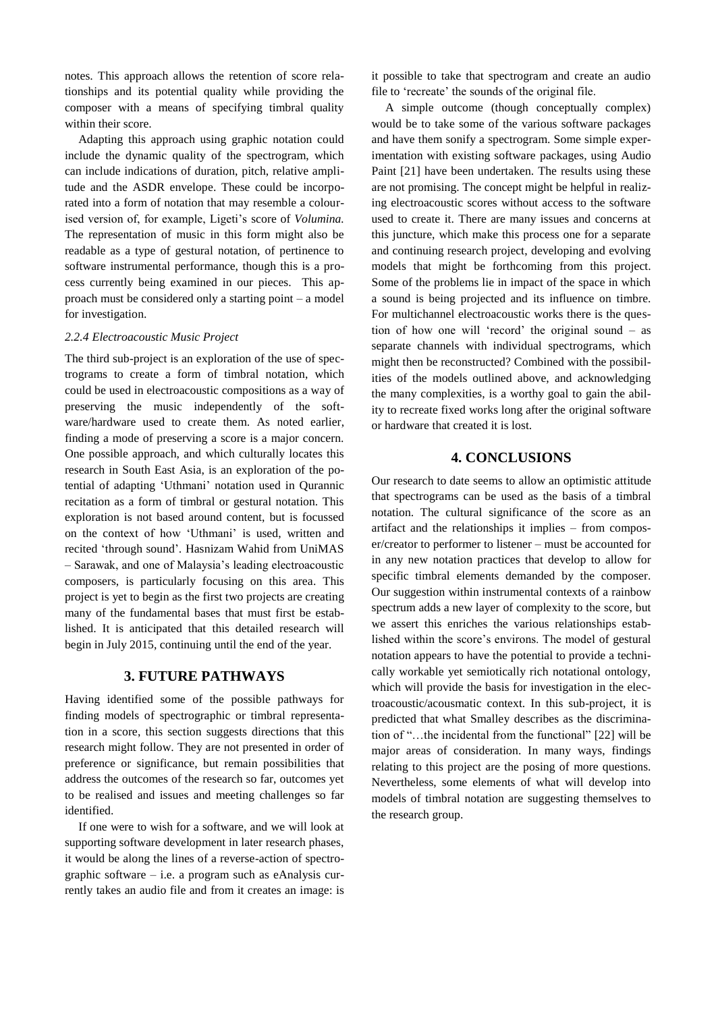notes. This approach allows the retention of score relationships and its potential quality while providing the composer with a means of specifying timbral quality within their score.

Adapting this approach using graphic notation could include the dynamic quality of the spectrogram, which can include indications of duration, pitch, relative amplitude and the ASDR envelope. These could be incorporated into a form of notation that may resemble a colourised version of, for example, Ligeti's score of *Volumina.*  The representation of music in this form might also be readable as a type of gestural notation, of pertinence to software instrumental performance, though this is a process currently being examined in our pieces. This approach must be considered only a starting point – a model for investigation.

### *2.2.4 Electroacoustic Music Project*

The third sub-project is an exploration of the use of spectrograms to create a form of timbral notation, which could be used in electroacoustic compositions as a way of preserving the music independently of the software/hardware used to create them. As noted earlier, finding a mode of preserving a score is a major concern. One possible approach, and which culturally locates this research in South East Asia, is an exploration of the potential of adapting 'Uthmani' notation used in Qurannic recitation as a form of timbral or gestural notation. This exploration is not based around content, but is focussed on the context of how 'Uthmani' is used, written and recited 'through sound'. Hasnizam Wahid from UniMAS – Sarawak, and one of Malaysia's leading electroacoustic composers, is particularly focusing on this area. This project is yet to begin as the first two projects are creating many of the fundamental bases that must first be established. It is anticipated that this detailed research will begin in July 2015, continuing until the end of the year.

## **3. FUTURE PATHWAYS**

Having identified some of the possible pathways for finding models of spectrographic or timbral representation in a score, this section suggests directions that this research might follow. They are not presented in order of preference or significance, but remain possibilities that address the outcomes of the research so far, outcomes yet to be realised and issues and meeting challenges so far identified.

If one were to wish for a software, and we will look at supporting software development in later research phases, it would be along the lines of a reverse-action of spectrographic software – i.e. a program such as eAnalysis currently takes an audio file and from it creates an image: is it possible to take that spectrogram and create an audio file to 'recreate' the sounds of the original file.

A simple outcome (though conceptually complex) would be to take some of the various software packages and have them sonify a spectrogram. Some simple experimentation with existing software packages, using Audio Paint [21] have been undertaken. The results using these are not promising. The concept might be helpful in realizing electroacoustic scores without access to the software used to create it. There are many issues and concerns at this juncture, which make this process one for a separate and continuing research project, developing and evolving models that might be forthcoming from this project. Some of the problems lie in impact of the space in which a sound is being projected and its influence on timbre. For multichannel electroacoustic works there is the question of how one will 'record' the original sound – as separate channels with individual spectrograms, which might then be reconstructed? Combined with the possibilities of the models outlined above, and acknowledging the many complexities, is a worthy goal to gain the ability to recreate fixed works long after the original software or hardware that created it is lost.

# **4. CONCLUSIONS**

Our research to date seems to allow an optimistic attitude that spectrograms can be used as the basis of a timbral notation. The cultural significance of the score as an artifact and the relationships it implies – from composer/creator to performer to listener – must be accounted for in any new notation practices that develop to allow for specific timbral elements demanded by the composer. Our suggestion within instrumental contexts of a rainbow spectrum adds a new layer of complexity to the score, but we assert this enriches the various relationships established within the score's environs. The model of gestural notation appears to have the potential to provide a technically workable yet semiotically rich notational ontology, which will provide the basis for investigation in the electroacoustic/acousmatic context. In this sub-project, it is predicted that what Smalley describes as the discrimination of "…the incidental from the functional" [22] will be major areas of consideration. In many ways, findings relating to this project are the posing of more questions. Nevertheless, some elements of what will develop into models of timbral notation are suggesting themselves to the research group.